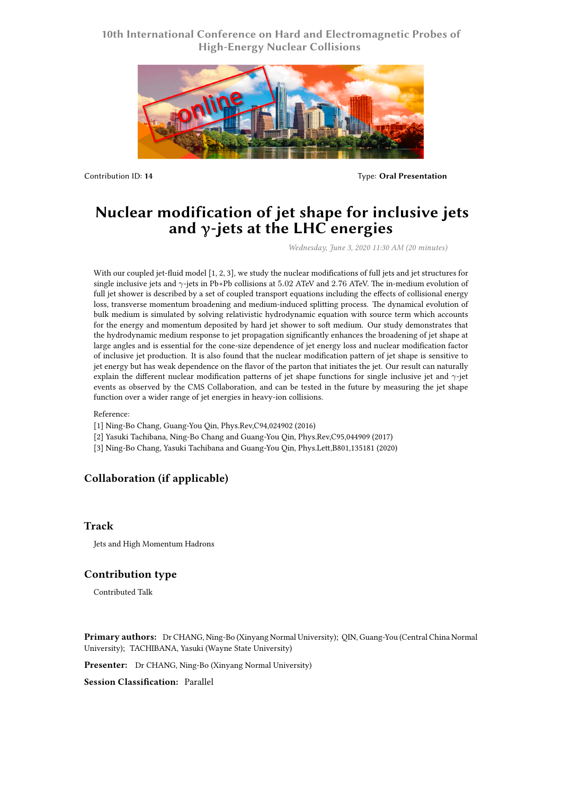## **10th International Conference on Hard and Electromagnetic Probes of High-Energy Nuclear Collisions**



Contribution ID: **14** Type: **Oral Presentation**

# **Nuclear modification of jet shape for inclusive jets and γ-jets at the LHC energies**

*Wednesday, June 3, 2020 11:30 AM (20 minutes)*

With our coupled jet-fluid model [1, 2, 3], we study the nuclear modifications of full jets and jet structures for single inclusive jets and *γ*-jets in Pb+Pb collisions at 5*.*02 ATeV and 2*.*76 ATeV. The in-medium evolution of full jet shower is described by a set of coupled transport equations including the effects of collisional energy loss, transverse momentum broadening and medium-induced splitting process. The dynamical evolution of bulk medium is simulated by solving relativistic hydrodynamic equation with source term which accounts for the energy and momentum deposited by hard jet shower to soft medium. Our study demonstrates that the hydrodynamic medium response to jet propagation significantly enhances the broadening of jet shape at large angles and is essential for the cone-size dependence of jet energy loss and nuclear modification factor of inclusive jet production. It is also found that the nuclear modification pattern of jet shape is sensitive to jet energy but has weak dependence on the flavor of the parton that initiates the jet. Our result can naturally explain the different nuclear modification patterns of jet shape functions for single inclusive jet and *γ*-jet events as observed by the CMS Collaboration, and can be tested in the future by measuring the jet shape function over a wider range of jet energies in heavy-ion collisions.

Reference:

- [1] Ning-Bo Chang, Guang-You Qin, Phys.Rev,C94,024902 (2016)
- [2] Yasuki Tachibana, Ning-Bo Chang and Guang-You Qin, Phys.Rev,C95,044909 (2017)
- [3] Ning-Bo Chang, Yasuki Tachibana and Guang-You Qin, Phys.Lett,B801,135181 (2020)

## **Collaboration (if applicable)**

#### **Track**

Jets and High Momentum Hadrons

#### **Contribution type**

Contributed Talk

**Primary authors:** Dr CHANG, Ning-Bo (Xinyang Normal University); QIN, Guang-You (Central China Normal University); TACHIBANA, Yasuki (Wayne State University)

**Presenter:** Dr CHANG, Ning-Bo (Xinyang Normal University)

**Session Classification:** Parallel